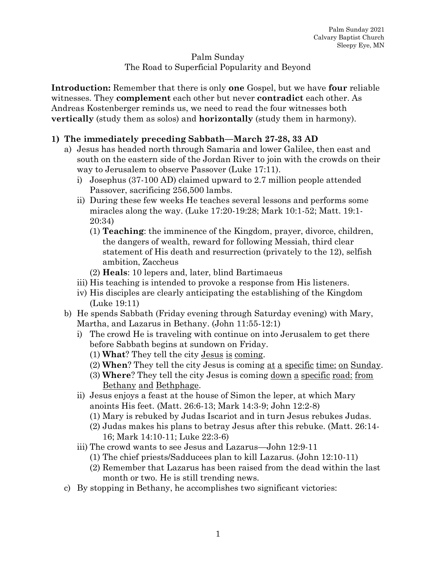## Palm Sunday The Road to Superficial Popularity and Beyond

**Introduction:** Remember that there is only **one** Gospel, but we have **four** reliable witnesses. They **complement** each other but never **contradict** each other. As Andreas Kostenberger reminds us, we need to read the four witnesses both **vertically** (study them as solos) and **horizontally** (study them in harmony).

## **1) The immediately preceding Sabbath—March 27-28, 33 AD**

- a) Jesus has headed north through Samaria and lower Galilee, then east and south on the eastern side of the Jordan River to join with the crowds on their way to Jerusalem to observe Passover (Luke 17:11).
	- i) Josephus (37-100 AD) claimed upward to 2.7 million people attended Passover, sacrificing 256,500 lambs.
	- ii) During these few weeks He teaches several lessons and performs some miracles along the way. (Luke 17:20-19:28; Mark 10:1-52; Matt. 19:1- 20:34)
		- (1) **Teaching**: the imminence of the Kingdom, prayer, divorce, children, the dangers of wealth, reward for following Messiah, third clear statement of His death and resurrection (privately to the 12), selfish ambition, Zaccheus
		- (2) **Heals**: 10 lepers and, later, blind Bartimaeus
	- iii) His teaching is intended to provoke a response from His listeners.
	- iv) His disciples are clearly anticipating the establishing of the Kingdom (Luke 19:11)
- b) He spends Sabbath (Friday evening through Saturday evening) with Mary, Martha, and Lazarus in Bethany. (John 11:55-12:1)
	- i) The crowd He is traveling with continue on into Jerusalem to get there before Sabbath begins at sundown on Friday.
		- (1) **What**? They tell the city Jesus is coming.
		- (2) **When**? They tell the city Jesus is coming at a specific time: on Sunday.
		- (3) **Where**? They tell the city Jesus is coming down a specific road: from Bethany and Bethphage.
	- ii) Jesus enjoys a feast at the house of Simon the leper, at which Mary anoints His feet. (Matt. 26:6-13; Mark 14:3-9; John 12:2-8)
		- (1) Mary is rebuked by Judas Iscariot and in turn Jesus rebukes Judas.
		- (2) Judas makes his plans to betray Jesus after this rebuke. (Matt. 26:14- 16; Mark 14:10-11; Luke 22:3-6)
	- iii) The crowd wants to see Jesus and Lazarus—John 12:9-11
		- (1) The chief priests/Sadducees plan to kill Lazarus. (John 12:10-11)
		- (2) Remember that Lazarus has been raised from the dead within the last month or two. He is still trending news.
- c) By stopping in Bethany, he accomplishes two significant victories: